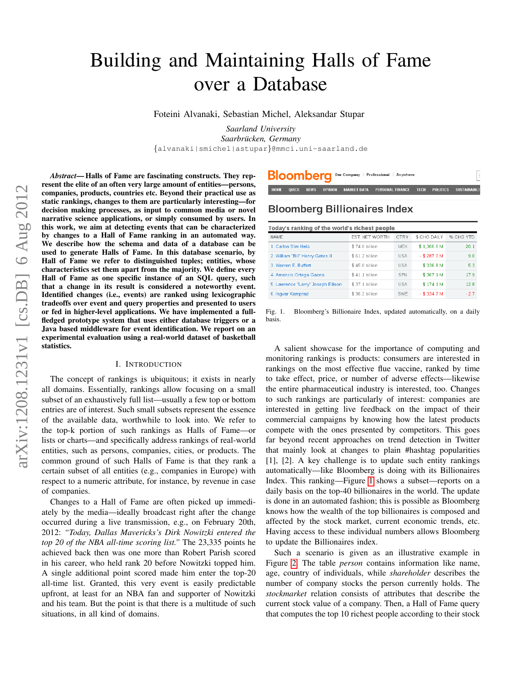# Building and Maintaining Halls of Fame over a Database

Foteini Alvanaki, Sebastian Michel, Aleksandar Stupar

*Saarland University Saarbrucken, Germany ¨* {alvanaki|smichel|astupar}@mmci.uni-saarland.de

*Abstract*— Halls of Fame are fascinating constructs. They represent the elite of an often very large amount of entities—persons, companies, products, countries etc. Beyond their practical use as static rankings, changes to them are particularly interesting—for decision making processes, as input to common media or novel narrative science applications, or simply consumed by users. In this work, we aim at detecting events that can be characterized by changes to a Hall of Fame ranking in an automated way. We describe how the schema and data of a database can be used to generate Halls of Fame. In this database scenario, by Hall of Fame we refer to distinguished tuples; entities, whose characteristics set them apart from the majority. We define every Hall of Fame as one specific instance of an SQL query, such that a change in its result is considered a noteworthy event. Identified changes (i.e., events) are ranked using lexicographic tradeoffs over event and query properties and presented to users or fed in higher-level applications. We have implemented a fullfledged prototype system that uses either database triggers or a Java based middleware for event identification. We report on an experimental evaluation using a real-world dataset of basketball statistics.

#### I. INTRODUCTION

The concept of rankings is ubiquitous; it exists in nearly all domains. Essentially, rankings allow focusing on a small subset of an exhaustively full list—usually a few top or bottom entries are of interest. Such small subsets represent the essence of the available data, worthwhile to look into. We refer to the top-k portion of such rankings as Halls of Fame—or lists or charts—and specifically address rankings of real-world entities, such as persons, companies, cities, or products. The common ground of such Halls of Fame is that they rank a certain subset of all entities (e.g., companies in Europe) with respect to a numeric attribute, for instance, by revenue in case of companies.

Changes to a Hall of Fame are often picked up immediately by the media—ideally broadcast right after the change occurred during a live transmission, e.g., on February 20th, 2012: *"Today, Dallas Mavericks's Dirk Nowitzki entered the top 20 of the NBA all-time scoring list."* The 23,335 points he achieved back then was one more than Robert Parish scored in his career, who held rank 20 before Nowitzki topped him. A single additional point scored made him enter the top-20 all-time list. Granted, this very event is easily predictable upfront, at least for an NBA fan and supporter of Nowitzki and his team. But the point is that there is a multitude of such situations, in all kind of domains.

## **Bloomberg Billionaires Index**

**Bloombera** Our Company | Professional | Anywhere

| Today's ranking of the world's richest people |                 |             |                |           |  |  |  |
|-----------------------------------------------|-----------------|-------------|----------------|-----------|--|--|--|
| NAMF                                          | EST. NET WORTH  | <b>CTRY</b> | \$ CHG DAILY   | % CHG YTD |  |  |  |
| 1. Carlos Slim Helú                           | \$74.0 billion  | <b>MEX</b>  | \$1,366.6 M    | 20.1      |  |  |  |
| 2. William "Bill" Henry Gates III             | \$ 61.2 billion | <b>USA</b>  | $-$ \$ 287.0 M | 9.0       |  |  |  |
| 3 Warren F Buffett                            | \$450 billion   | <b>USA</b>  | \$3368M        | 53        |  |  |  |
| 4. Amancio Ortega Gaona                       | \$41.1 billion  | <b>SPN</b>  | \$367.1 M      | 17.9      |  |  |  |
| 5. Lawrence "Larry" Joseph Ellison            | \$37.1 billion  | <b>USA</b>  | \$174.1 M      | 12.8      |  |  |  |
| 6. Ingvar Kamprad                             | \$36.2 billion  | <b>SWE</b>  | $-$ \$ 334.7 M | $-2.7$    |  |  |  |

**POLITICS** 

TECH

<span id="page-0-0"></span>Fig. 1. Bloomberg's Billionaire Index, updated automatically, on a daily basis.

A salient showcase for the importance of computing and monitoring rankings is products: consumers are interested in rankings on the most effective flue vaccine, ranked by time to take effect, price, or number of adverse effects—likewise the entire pharmaceutical industry is interested, too. Changes to such rankings are particularly of interest: companies are interested in getting live feedback on the impact of their commercial campaigns by knowing how the latest products compete with the ones presented by competitors. This goes far beyond recent approaches on trend detection in Twitter that mainly look at changes to plain #hashtag popularities [1], [2]. A key challenge is to update such entity rankings automatically—like Bloomberg is doing with its Billionaires Index. This ranking—Figure [1](#page-0-0) shows a subset—reports on a daily basis on the top-40 billionaires in the world. The update is done in an automated fashion; this is possible as Bloomberg knows how the wealth of the top billionaires is composed and affected by the stock market, current economic trends, etc. Having access to these individual numbers allows Bloomberg to update the Billionaires index.

Such a scenario is given as an illustrative example in Figure [2.](#page-2-0) The table *person* contains information like name, age, country of individuals, while *shareholder* describes the number of company stocks the person currently holds. The *stockmarket* relation consists of attributes that describe the current stock value of a company. Then, a Hall of Fame query that computes the top 10 richest people according to their stock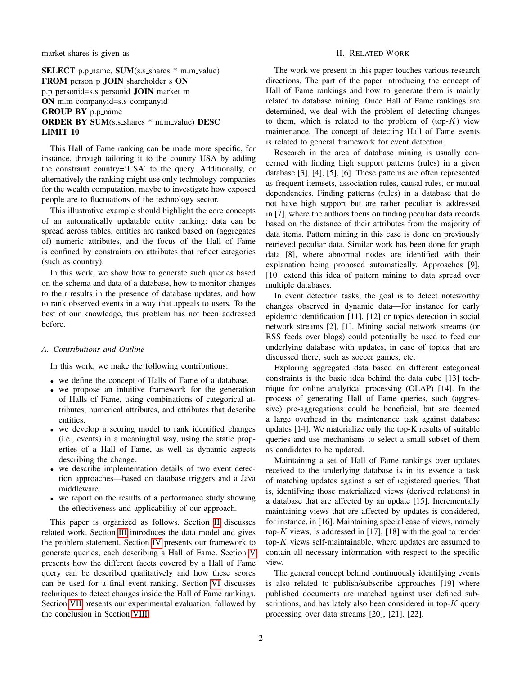market shares is given as

SELECT p.p\_name, SUM(s.s\_shares \* m.m\_value) FROM person p JOIN shareholder s ON p.p personid=s.s personid JOIN market m ON m.m companyid=s.s companyid GROUP BY p.p\_name ORDER BY SUM(s.s\_shares \* m.m\_value) DESC LIMIT 10

This Hall of Fame ranking can be made more specific, for instance, through tailoring it to the country USA by adding the constraint country='USA' to the query. Additionally, or alternatively the ranking might use only technology companies for the wealth computation, maybe to investigate how exposed people are to fluctuations of the technology sector.

This illustrative example should highlight the core concepts of an automatically updatable entity ranking: data can be spread across tables, entities are ranked based on (aggregates of) numeric attributes, and the focus of the Hall of Fame is confined by constraints on attributes that reflect categories (such as country).

In this work, we show how to generate such queries based on the schema and data of a database, how to monitor changes to their results in the presence of database updates, and how to rank observed events in a way that appeals to users. To the best of our knowledge, this problem has not been addressed before.

#### *A. Contributions and Outline*

In this work, we make the following contributions:

- we define the concept of Halls of Fame of a database.
- we propose an intuitive framework for the generation of Halls of Fame, using combinations of categorical attributes, numerical attributes, and attributes that describe entities.
- we develop a scoring model to rank identified changes (i.e., events) in a meaningful way, using the static properties of a Hall of Fame, as well as dynamic aspects describing the change.
- we describe implementation details of two event detection approaches—based on database triggers and a Java middleware.
- we report on the results of a performance study showing the effectiveness and applicability of our approach.

This paper is organized as follows. Section [II](#page-1-0) discusses related work. Section [III](#page-2-1) introduces the data model and gives the problem statement. Section [IV](#page-3-0) presents our framework to generate queries, each describing a Hall of Fame. Section [V](#page-4-0) presents how the different facets covered by a Hall of Fame query can be described qualitatively and how these scores can be used for a final event ranking. Section [VI](#page-7-0) discusses techniques to detect changes inside the Hall of Fame rankings. Section [VII](#page-8-0) presents our experimental evaluation, followed by the conclusion in Section [VIII.](#page-10-0)

#### II. RELATED WORK

<span id="page-1-0"></span>The work we present in this paper touches various research directions. The part of the paper introducing the concept of Hall of Fame rankings and how to generate them is mainly related to database mining. Once Hall of Fame rankings are determined, we deal with the problem of detecting changes to them, which is related to the problem of  $(top-K)$  view maintenance. The concept of detecting Hall of Fame events is related to general framework for event detection.

Research in the area of database mining is usually concerned with finding high support patterns (rules) in a given database [3], [4], [5], [6]. These patterns are often represented as frequent itemsets, association rules, causal rules, or mutual dependencies. Finding patterns (rules) in a database that do not have high support but are rather peculiar is addressed in [7], where the authors focus on finding peculiar data records based on the distance of their attributes from the majority of data items. Pattern mining in this case is done on previously retrieved peculiar data. Similar work has been done for graph data [8], where abnormal nodes are identified with their explanation being proposed automatically. Approaches [9], [10] extend this idea of pattern mining to data spread over multiple databases.

In event detection tasks, the goal is to detect noteworthy changes observed in dynamic data—for instance for early epidemic identification [11], [12] or topics detection in social network streams [2], [1]. Mining social network streams (or RSS feeds over blogs) could potentially be used to feed our underlying database with updates, in case of topics that are discussed there, such as soccer games, etc.

Exploring aggregated data based on different categorical constraints is the basic idea behind the data cube [13] technique for online analytical processing (OLAP) [14]. In the process of generating Hall of Fame queries, such (aggressive) pre-aggregations could be beneficial, but are deemed a large overhead in the maintenance task against database updates [14]. We materialize only the top-K results of suitable queries and use mechanisms to select a small subset of them as candidates to be updated.

Maintaining a set of Hall of Fame rankings over updates received to the underlying database is in its essence a task of matching updates against a set of registered queries. That is, identifying those materialized views (derived relations) in a database that are affected by an update [15]. Incrementally maintaining views that are affected by updates is considered, for instance, in [16]. Maintaining special case of views, namely top- $K$  views, is addressed in [17], [18] with the goal to render top- $K$  views self-maintainable, where updates are assumed to contain all necessary information with respect to the specific view.

The general concept behind continuously identifying events is also related to publish/subscribe approaches [19] where published documents are matched against user defined subscriptions, and has lately also been considered in top- $K$  query processing over data streams [20], [21], [22].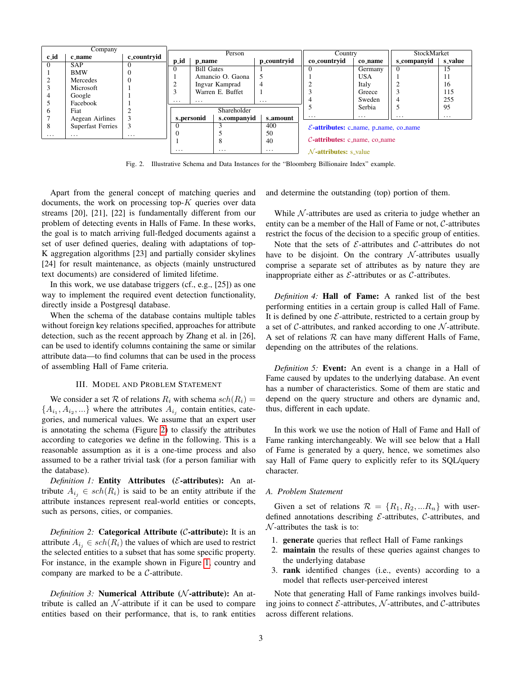|              | Company                  |             |          |                   |                  |             |                                                          |            |             |          |
|--------------|--------------------------|-------------|----------|-------------------|------------------|-------------|----------------------------------------------------------|------------|-------------|----------|
| c_id         | c_name                   | c_countryid |          |                   | Person           |             | Country                                                  |            | StockMarket |          |
|              |                          |             | p_id     | p_name            |                  | p_countryid | co <sub>-</sub> countryid                                | co_name    | s_companyid | s_value  |
| $\Omega$     | <b>SAP</b>               | $\Omega$    | $\Omega$ | <b>Bill Gates</b> |                  |             |                                                          | Germany    |             | 15       |
|              | <b>BMW</b>               | $\Omega$    |          |                   | Amancio O. Gaona |             |                                                          | <b>USA</b> |             | 11       |
|              | Mercedes                 | $\Omega$    | $\sim$   |                   |                  |             |                                                          |            |             |          |
|              | Microsoft                |             |          |                   | Ingvar Kamprad   | 4           |                                                          | Italy      |             | 16       |
|              |                          |             | $\sim$   |                   | Warren E. Buffet |             |                                                          | Greece     |             | 115      |
|              | Google                   |             | $\cdots$ | $\cdots$          |                  | $\cdots$    |                                                          | Sweden     |             | 255      |
|              | Facebook                 |             |          |                   |                  |             |                                                          | Serbia     |             | 95       |
| <sub>0</sub> | Fiat                     |             |          |                   | Shareholder      |             |                                                          |            |             |          |
|              | Aegean Airlines          |             |          | s_personid        | s_companyid      | s_amount    | $\cdots$                                                 | $\cdots$   | $\cdots$    | $\cdots$ |
| 8            | <b>Superfast Ferries</b> | 3           |          |                   |                  | 400         | $\mathcal{E}\text{-}attributes: c_name, p_name, co_name$ |            |             |          |
| $\cdots$     | $\cdots$                 | $\cdots$    | $\Omega$ |                   |                  | 50          |                                                          |            |             |          |
|              |                          |             |          |                   | $\Omega$         | 40          | $C$ -attributes: c_name, co_name                         |            |             |          |
|              |                          |             | .        |                   | $\cdots$         | $\cdots$    | $\mathcal{N}$ <b>-attributes:</b> s value                |            |             |          |

<span id="page-2-0"></span>Fig. 2. Illustrative Schema and Data Instances for the "Bloomberg Billionaire Index" example.

Apart from the general concept of matching queries and documents, the work on processing top- $K$  queries over data streams [20], [21], [22] is fundamentally different from our problem of detecting events in Halls of Fame. In these works, the goal is to match arriving full-fledged documents against a set of user defined queries, dealing with adaptations of top-K aggregation algorithms [23] and partially consider skylines [24] for result maintenance, as objects (mainly unstructured text documents) are considered of limited lifetime.

In this work, we use database triggers (cf., e.g., [25]) as one way to implement the required event detection functionality, directly inside a Postgresql database.

When the schema of the database contains multiple tables without foreign key relations specified, approaches for attribute detection, such as the recent approach by Zhang et al. in [26], can be used to identify columns containing the same or similar attribute data—to find columns that can be used in the process of assembling Hall of Fame criteria.

#### III. MODEL AND PROBLEM STATEMENT

<span id="page-2-1"></span>We consider a set R of relations  $R_i$  with schema  $sch(R_i) =$  $\{A_{i_1}, A_{i_2}, ...\}$  where the attributes  $A_{i_j}$  contain entities, categories, and numerical values. We assume that an expert user is annotating the schema (Figure [2\)](#page-2-0) to classify the attributes according to categories we define in the following. This is a reasonable assumption as it is a one-time process and also assumed to be a rather trivial task (for a person familiar with the database).

*Definition 1:* Entity Attributes (*E*-attributes): An attribute  $A_{i_j} \in sch(R_i)$  is said to be an entity attribute if the attribute instances represent real-world entities or concepts, such as persons, cities, or companies.

*Definition 2:* **Categorical Attribute (C-attribute):** It is an attribute  $A_{i_j} \in sch(R_i)$  the values of which are used to restrict the selected entities to a subset that has some specific property. For instance, in the example shown in Figure [1,](#page-0-0) country and company are marked to be a C-attribute.

*Definition 3:* **Numerical Attribute (***N***-attribute):** An attribute is called an  $N$ -attribute if it can be used to compare entities based on their performance, that is, to rank entities and determine the outstanding (top) portion of them.

While  $\mathcal N$ -attributes are used as criteria to judge whether an entity can be a member of the Hall of Fame or not, C-attributes restrict the focus of the decision to a specific group of entities.

Note that the sets of  $\mathcal E$ -attributes and  $\mathcal C$ -attributes do not have to be disjoint. On the contrary  $\mathcal N$ -attributes usually comprise a separate set of attributes as by nature they are inappropriate either as  $\mathcal E$ -attributes or as  $\mathcal C$ -attributes.

*Definition 4:* Hall of Fame: A ranked list of the best performing entities in a certain group is called Hall of Fame. It is defined by one  $\mathcal{E}$ -attribute, restricted to a certain group by a set of  $\mathcal C$ -attributes, and ranked according to one  $\mathcal N$ -attribute. A set of relations  $R$  can have many different Halls of Fame, depending on the attributes of the relations.

*Definition 5:* Event: An event is a change in a Hall of Fame caused by updates to the underlying database. An event has a number of characteristics. Some of them are static and depend on the query structure and others are dynamic and, thus, different in each update.

In this work we use the notion of Hall of Fame and Hall of Fame ranking interchangeably. We will see below that a Hall of Fame is generated by a query, hence, we sometimes also say Hall of Fame query to explicitly refer to its SQL/query character.

#### *A. Problem Statement*

Given a set of relations  $\mathcal{R} = \{R_1, R_2, ... R_n\}$  with userdefined annotations describing  $\mathcal{E}$ -attributes,  $\mathcal{C}$ -attributes, and  $\mathcal N$ -attributes the task is to:

- 1. generate queries that reflect Hall of Fame rankings
- 2. maintain the results of these queries against changes to the underlying database
- 3. rank identified changes (i.e., events) according to a model that reflects user-perceived interest

Note that generating Hall of Fame rankings involves building joins to connect  $\mathcal{E}\text{-attributes, }\mathcal{N}\text{-attributes, and }\mathcal{C}\text{-attributes}$ across different relations.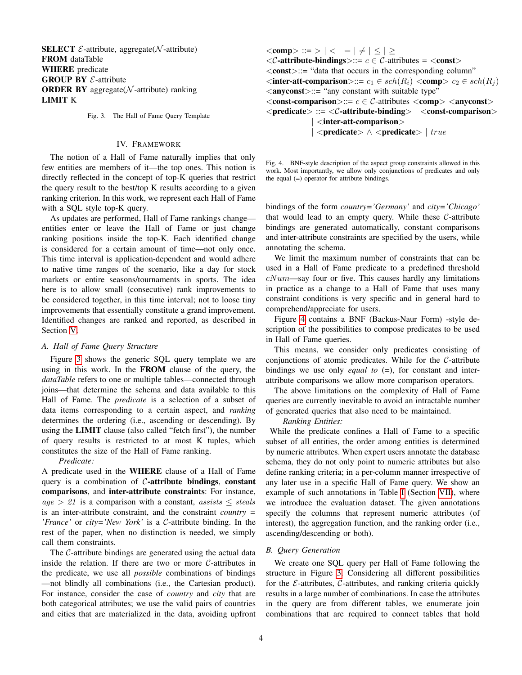**SELECT**  $\mathcal{E}$ -attribute, aggregate( $\mathcal{N}$ -attribute) FROM dataTable WHERE predicate **GROUP BY**  $\mathcal{E}$ **-attribute ORDER BY** aggregate( $N$ -attribute) ranking LIMIT K

<span id="page-3-1"></span>Fig. 3. The Hall of Fame Query Template

#### IV. FRAMEWORK

<span id="page-3-0"></span>The notion of a Hall of Fame naturally implies that only few entities are members of it—the top ones. This notion is directly reflected in the concept of top-K queries that restrict the query result to the best/top K results according to a given ranking criterion. In this work, we represent each Hall of Fame with a SQL style top-K query.

As updates are performed, Hall of Fame rankings change entities enter or leave the Hall of Fame or just change ranking positions inside the top-K. Each identified change is considered for a certain amount of time—not only once. This time interval is application-dependent and would adhere to native time ranges of the scenario, like a day for stock markets or entire seasons/tournaments in sports. The idea here is to allow small (consecutive) rank improvements to be considered together, in this time interval; not to loose tiny improvements that essentially constitute a grand improvement. Identified changes are ranked and reported, as described in Section [V.](#page-4-0)

#### *A. Hall of Fame Query Structure*

Figure [3](#page-3-1) shows the generic SQL query template we are using in this work. In the FROM clause of the query, the *dataTable* refers to one or multiple tables—connected through joins—that determine the schema and data available to this Hall of Fame. The *predicate* is a selection of a subset of data items corresponding to a certain aspect, and *ranking* determines the ordering (i.e., ascending or descending). By using the LIMIT clause (also called "fetch first"), the number of query results is restricted to at most K tuples, which constitutes the size of the Hall of Fame ranking.

*Predicate:*

A predicate used in the WHERE clause of a Hall of Fame query is a combination of  $C$ -attribute bindings, constant comparisons, and inter-attribute constraints: For instance,  $age > 21$  is a comparison with a constant, assists  $\le$  steals is an inter-attribute constraint, and the constraint *country = 'France'* or *city='New York'* is a C-attribute binding. In the rest of the paper, when no distinction is needed, we simply call them constraints.

The C-attribute bindings are generated using the actual data inside the relation. If there are two or more C-attributes in the predicate, we use all *possible* combinations of bindings —not blindly all combinations (i.e., the Cartesian product). For instance, consider the case of *country* and *city* that are both categorical attributes; we use the valid pairs of countries and cities that are materialized in the data, avoiding upfront  $\langle \text{comp} \rangle ::= \rangle \mid \langle \ | = | \neq | \leq | \geq$  $\langle\mathcal{C}\text{-attribute-bindings}\rangle ::= c \in \mathcal{C}\text{-attributes} = \langle\text{const}\rangle$ <const>::= "data that occurs in the corresponding column"  $\leq$ inter-att-comparison>::=  $c_1 \in sch(R_i) \leq$ comp>  $c_2 \in sch(R_i)$  $\langle$ **anyconst** $>:=$  "any constant with suitable type"  $\langle \text{const-comparison} \rangle ::= c \in \mathcal{C}$ -attributes  $\langle \text{comp} \rangle \langle \text{anyconst} \rangle$  $\langle$  predicate $\rangle$  ::=  $\langle$ C-attribute-binding $\rangle$  |  $\langle$  const-comparison $\rangle$  $\langle$ inter-att-comparison $>$  $\langle$  >  $\rangle$   $\langle$   $\rangle$   $\langle$   $\rangle$   $\langle$   $\rangle$   $\rangle$   $\langle$   $\rangle$   $\langle$   $\rangle$   $\langle$   $\rangle$   $\langle$   $\rangle$   $\langle$   $\rangle$   $\langle$   $\rangle$   $\langle$   $\rangle$   $\langle$   $\rangle$   $\langle$   $\rangle$   $\langle$   $\rangle$   $\langle$   $\rangle$   $\langle$   $\rangle$   $\langle$   $\rangle$   $\langle$   $\rangle$   $\langle$   $\rangle$   $\langle$   $\rangle$   $\langle$   $\rangle$   $\langle$ 

<span id="page-3-2"></span>Fig. 4. BNF-style description of the aspect group constraints allowed in this work. Most importantly, we allow only conjunctions of predicates and only the equal  $(=)$  operator for attribute bindings.

bindings of the form *country='Germany'* and *city='Chicago'* that would lead to an empty query. While these  $C$ -attribute bindings are generated automatically, constant comparisons and inter-attribute constraints are specified by the users, while annotating the schema.

We limit the maximum number of constraints that can be used in a Hall of Fame predicate to a predefined threshold  $cNum$ —say four or five. This causes hardly any limitations in practice as a change to a Hall of Fame that uses many constraint conditions is very specific and in general hard to comprehend/appreciate for users.

Figure [4](#page-3-2) contains a BNF (Backus-Naur Form) -style description of the possibilities to compose predicates to be used in Hall of Fame queries.

This means, we consider only predicates consisting of conjunctions of atomic predicates. While for the  $C$ -attribute bindings we use only *equal to* (=), for constant and interattribute comparisons we allow more comparison operators.

The above limitations on the complexity of Hall of Fame queries are currently inevitable to avoid an intractable number of generated queries that also need to be maintained.

*Ranking Entities:*

While the predicate confines a Hall of Fame to a specific subset of all entities, the order among entities is determined by numeric attributes. When expert users annotate the database schema, they do not only point to numeric attributes but also define ranking criteria; in a per-column manner irrespective of any later use in a specific Hall of Fame query. We show an example of such annotations in Table [I](#page-9-0) (Section [VII\)](#page-8-0), where we introduce the evaluation dataset. The given annotations specify the columns that represent numeric attributes (of interest), the aggregation function, and the ranking order (i.e., ascending/descending or both).

#### <span id="page-3-3"></span>*B. Query Generation*

We create one SQL query per Hall of Fame following the structure in Figure [3.](#page-3-1) Considering all different possibilities for the  $E$ -attributes,  $C$ -attributes, and ranking criteria quickly results in a large number of combinations. In case the attributes in the query are from different tables, we enumerate join combinations that are required to connect tables that hold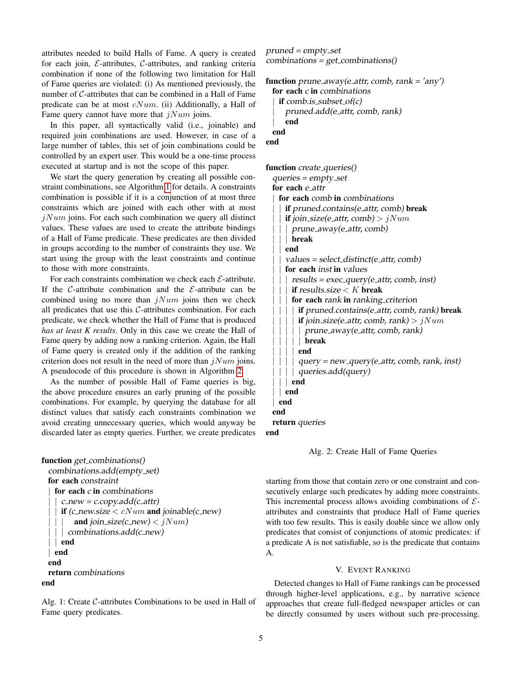attributes needed to build Halls of Fame. A query is created for each join,  $\mathcal{E}\text{-attributes, }\mathcal{C}\text{-attributes, and ranking criteria}$ combination if none of the following two limitation for Hall of Fame queries are violated: (i) As mentioned previously, the number of C-attributes that can be combined in a Hall of Fame predicate can be at most  $cNum$ . (ii) Additionally, a Hall of Fame query cannot have more that  $jNum$  joins.

In this paper, all syntactically valid (i.e., joinable) and required join combinations are used. However, in case of a large number of tables, this set of join combinations could be controlled by an expert user. This would be a one-time process executed at startup and is not the scope of this paper.

We start the query generation by creating all possible constraint combinations, see Algorithm [1](#page-4-1) for details. A constraints combination is possible if it is a conjunction of at most three constraints which are joined with each other with at most  $jNum$  joins. For each such combination we query all distinct values. These values are used to create the attribute bindings of a Hall of Fame predicate. These predicates are then divided in groups according to the number of constraints they use. We start using the group with the least constraints and continue to those with more constraints.

For each constraints combination we check each  $\mathcal{E}$ -attribute. If the C-attribute combination and the  $\mathcal{E}$ -attribute can be combined using no more than  $jNum$  joins then we check all predicates that use this  $C$ -attributes combination. For each predicate, we check whether the Hall of Fame that is produced *has at least K results*. Only in this case we create the Hall of Fame query by adding now a ranking criterion. Again, the Hall of Fame query is created only if the addition of the ranking criterion does not result in the need of more than  $jNum$  joins. A pseudocode of this procedure is shown in Algorithm [2.](#page-4-2)

As the number of possible Hall of Fame queries is big, the above procedure ensures an early pruning of the possible combinations. For example, by querying the database for all distinct values that satisfy each constraints combination we avoid creating unnecessary queries, which would anyway be discarded later as empty queries. Further, we create predicates

```
function get_combinations()
```

```
combinations.add(empty set)
 for each constraint
   for each c in combinations
    c_new = c.copy.add(c_attr)if (c_new.size \langle cNum and joinable(c_new)
        and join_size(c_new) < jNum)
  | | | combinations.add(c_new)
 | | end
 | end
 end
 return combinations
end
```
Alg. 1: Create C-attributes Combinations to be used in Hall of Fame query predicates.

```
pruned = empty_setcombinations = get\_combinations()function prune_away(e_attr, comb, rank = 'any')
```

```
for each c in combinations
 if comb.issubset_of(c)pruned.add(e_attr, comb, rank)
   end
end
```

```
end
function create_queries()
  queries = empty_setfor each e_attr
   for each comb in combinations
     if pruned.contains(e_attr, comb) break
     if join_size(e_attr, comb) > jNumprune_away(e_attr, comb)
     | | | break
     end
     values = select\_distinct(e_attr, comb)for each inst in values
       results = exec\_\_query(e\_\_attr, comb, inst)if results.size \lt K break
       for each rank in ranking criterion
         if pruned. contains (e_attr, comb, rank) break\mathbf{if} join_size(e_attr, comb, rank) > jNumprune_away(e_attr, comb, rank)
          | | | | | break
     | | | | end
         query = new_query(e_attr, comb, rank, inst)| | queries.add(query)
   \vert | end
  | | end
  | end
 end
 return queries
```
end

Alg. 2: Create Hall of Fame Queries

starting from those that contain zero or one constraint and consecutively enlarge such predicates by adding more constraints. This incremental process allows avoiding combinations of  $\mathcal{E}$ attributes and constraints that produce Hall of Fame queries with too few results. This is easily doable since we allow only predicates that consist of conjunctions of atomic predicates: if a predicate A is not satisfiable, so is the predicate that contains A.

#### V. EVENT RANKING

<span id="page-4-0"></span>Detected changes to Hall of Fame rankings can be processed through higher-level applications, e.g., by narrative science approaches that create full-fledged newspaper articles or can be directly consumed by users without such pre-processing.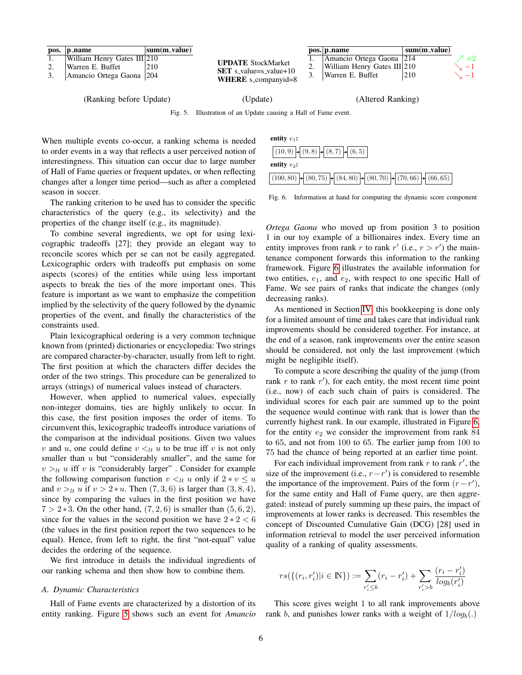|          | pos. p_name                 | sum(m_value) |                                                        | pos. p_name                 | sum(m_value) |               |
|----------|-----------------------------|--------------|--------------------------------------------------------|-----------------------------|--------------|---------------|
|          | William Henry Gates III 210 |              | <b>UPDATE</b> StockMarket                              | Amancio Ortega Gaona   214  |              | $+2$          |
| <u>.</u> | Warren E. Buffet            | 210          | <u>.</u>                                               | William Henry Gates III 210 |              | $\rightarrow$ |
|          | Amancio Ortega Gaona   204  |              | $SET$ s_value=s_value+10<br><b>WHERE</b> s_companyid=8 | Warren E. Buffet            | 210          | $-1$          |
|          |                             |              |                                                        |                             |              |               |

(Ranking before Update) (Update) (Altered Ranking)

<span id="page-5-0"></span>Fig. 5. Illustration of an Update causing a Hall of Fame event.

When multiple events co-occur, a ranking schema is needed to order events in a way that reflects a user perceived notion of interestingness. This situation can occur due to large number of Hall of Fame queries or frequent updates, or when reflecting changes after a longer time period—such as after a completed season in soccer.

The ranking criterion to be used has to consider the specific characteristics of the query (e.g., its selectivity) and the properties of the change itself (e.g., its magnitude).

To combine several ingredients, we opt for using lexicographic tradeoffs [27]; they provide an elegant way to reconcile scores which per se can not be easily aggregated. Lexicographic orders with tradeoffs put emphasis on some aspects (scores) of the entities while using less important aspects to break the ties of the more important ones. This feature is important as we want to emphasize the competition implied by the selectivity of the query followed by the dynamic properties of the event, and finally the characteristics of the constraints used.

Plain lexicographical ordering is a very common technique known from (printed) dictionaries or encyclopedia: Two strings are compared character-by-character, usually from left to right. The first position at which the characters differ decides the order of the two strings. This procedure can be generalized to arrays (strings) of numerical values instead of characters.

However, when applied to numerical values, especially non-integer domains, ties are highly unlikely to occur. In this case, the first position imposes the order of items. To circumvent this, lexicographic tradeoffs introduce variations of the comparison at the individual positions. Given two values v and u, one could define  $v \lt_{lt} u$  to be true iff v is not only smaller than  $u$  but "considerably smaller", and the same for  $v >_{lt} u$  iff v is "considerably larger". Consider for example the following comparison function  $v \lt_{lt} u$  only if  $2 * v \leq u$ and  $v >_{lt} u$  if  $v > 2 * u$ . Then  $(7, 3, 6)$  is larger than  $(3, 8, 4)$ , since by comparing the values in the first position we have  $7 > 2*3$ . On the other hand,  $(7, 2, 6)$  is smaller than  $(5, 6, 2)$ , since for the values in the second position we have  $2 * 2 < 6$ (the values in the first position report the two sequences to be equal). Hence, from left to right, the first "not-equal" value decides the ordering of the sequence.

We first introduce in details the individual ingredients of our ranking schema and then show how to combine them.

#### *A. Dynamic Characteristics*

Hall of Fame events are characterized by a distortion of its entity ranking. Figure [5](#page-5-0) shows such an event for *Amancio*



<span id="page-5-1"></span>Fig. 6. Information at hand for computing the dynamic score component

*Ortega Gaona* who moved up from position 3 to position 1 in our toy example of a billionaires index. Every time an entity improves from rank r to rank  $r'$  (i.e.,  $r > r'$ ) the maintenance component forwards this information to the ranking framework. Figure [6](#page-5-1) illustrates the available information for two entities,  $e_1$ , and  $e_2$ , with respect to one specific Hall of Fame. We see pairs of ranks that indicate the changes (only decreasing ranks).

As mentioned in Section [IV,](#page-3-0) this bookkeeping is done only for a limited amount of time and takes care that individual rank improvements should be considered together. For instance, at the end of a season, rank improvements over the entire season should be considered, not only the last improvement (which might be negligible itself).

To compute a score describing the quality of the jump (from rank  $r$  to rank  $r'$ ), for each entity, the most recent time point (i.e., now) of each such chain of pairs is considered. The individual scores for each pair are summed up to the point the sequence would continue with rank that is lower than the currently highest rank. In our example, illustrated in Figure [6,](#page-5-1) for the entity  $e_2$  we consider the improvement from rank 84 to 65, and not from 100 to 65. The earlier jump from 100 to 75 had the chance of being reported at an earlier time point.

For each individual improvement from rank  $r$  to rank  $r'$ , the size of the improvement (i.e.,  $r - r'$ ) is considered to resemble the importance of the improvement. Pairs of the form  $(r - r')$ , for the same entity and Hall of Fame query, are then aggregated: instead of purely summing up these pairs, the impact of improvements at lower ranks is decreased. This resembles the concept of Discounted Cumulative Gain (DCG) [28] used in information retrieval to model the user perceived information quality of a ranking of quality assessments.

$$
rs(\{(r_i,r'_i)|i \in \mathbb{N}\}) := \sum_{r'_i \le b} (r_i - r'_i) + \sum_{r'_i > b} \frac{(r_i - r'_i)}{\log_b(r'_i)}
$$

This score gives weight 1 to all rank improvements above rank b, and punishes lower ranks with a weight of  $1/log_b(.)$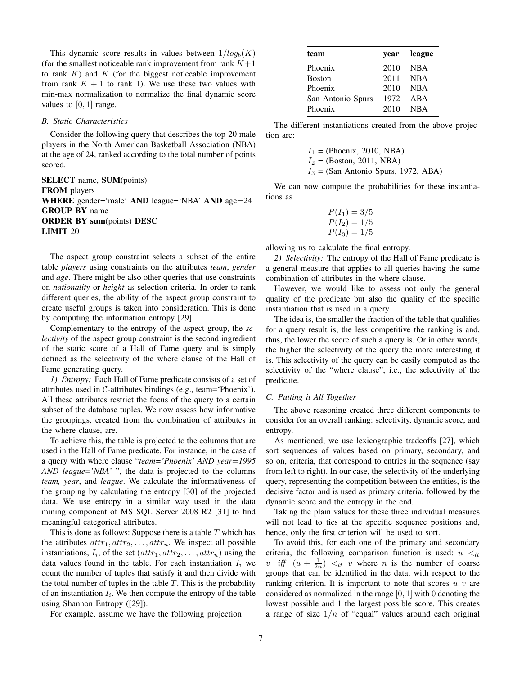This dynamic score results in values between  $1/log_b(K)$ (for the smallest noticeable rank improvement from rank  $K+1$ to rank  $K$ ) and  $K$  (for the biggest noticeable improvement from rank  $K + 1$  to rank 1). We use these two values with min-max normalization to normalize the final dynamic score values to  $[0, 1]$  range.

#### *B. Static Characteristics*

Consider the following query that describes the top-20 male players in the North American Basketball Association (NBA) at the age of 24, ranked according to the total number of points scored.

SELECT name, SUM(points) FROM players WHERE gender='male' AND league='NBA' AND age=24 GROUP BY name ORDER BY sum(points) DESC LIMIT 20

The aspect group constraint selects a subset of the entire table *players* using constraints on the attributes *team*, *gender* and *age*. There might be also other queries that use constraints on *nationality* or *height* as selection criteria. In order to rank different queries, the ability of the aspect group constraint to create useful groups is taken into consideration. This is done by computing the information entropy [29].

Complementary to the entropy of the aspect group, the *selectivity* of the aspect group constraint is the second ingredient of the static score of a Hall of Fame query and is simply defined as the selectivity of the where clause of the Hall of Fame generating query.

*1) Entropy:* Each Hall of Fame predicate consists of a set of attributes used in C-attributes bindings (e.g., team='Phoenix'). All these attributes restrict the focus of the query to a certain subset of the database tuples. We now assess how informative the groupings, created from the combination of attributes in the where clause, are.

To achieve this, the table is projected to the columns that are used in the Hall of Fame predicate. For instance, in the case of a query with where clause "*team='Phoenix' AND year*=*1995 AND league='NBA'* ", the data is projected to the columns *team, year*, and *league*. We calculate the informativeness of the grouping by calculating the entropy [30] of the projected data. We use entropy in a similar way used in the data mining component of MS SQL Server 2008 R2 [31] to find meaningful categorical attributes.

This is done as follows: Suppose there is a table  $T$  which has the attributes  $attr_1, attr_2, \ldots, attr_n$ . We inspect all possible instantiations,  $I_i$ , of the set  $(attr_1, attr_2, \ldots, attr_n)$  using the data values found in the table. For each instantiation  $I_i$  we count the number of tuples that satisfy it and then divide with the total number of tuples in the table  $T$ . This is the probability of an instantiation  $I_i$ . We then compute the entropy of the table using Shannon Entropy ([29]).

For example, assume we have the following projection

| team              | year league |
|-------------------|-------------|
| Phoenix           | 2010 NBA    |
| Boston            | 2011 NBA    |
| Phoenix           | 2010 NBA    |
| San Antonio Spurs | 1972 ABA    |
| Phoenix           | 2010 NBA    |
|                   |             |

The different instantiations created from the above projection are:

$$
I_1
$$
 = (Phoenix, 2010, NBA)  
\n $I_2$  = (Boston, 2011, NBA)  
\n $I_3$  = (San Antonio Spurs, 1972, ABA)

We can now compute the probabilities for these instantiations as

$$
P(I_1) = 3/5
$$
  
\n
$$
P(I_2) = 1/5
$$
  
\n
$$
P(I_3) = 1/5
$$

allowing us to calculate the final entropy.

*2) Selectivity:* The entropy of the Hall of Fame predicate is a general measure that applies to all queries having the same combination of attributes in the where clause.

However, we would like to assess not only the general quality of the predicate but also the quality of the specific instantiation that is used in a query.

The idea is, the smaller the fraction of the table that qualifies for a query result is, the less competitive the ranking is and, thus, the lower the score of such a query is. Or in other words, the higher the selectivity of the query the more interesting it is. This selectivity of the query can be easily computed as the selectivity of the "where clause", i.e., the selectivity of the predicate.

#### *C. Putting it All Together*

The above reasoning created three different components to consider for an overall ranking: selectivity, dynamic score, and entropy.

As mentioned, we use lexicographic tradeoffs [27], which sort sequences of values based on primary, secondary, and so on, criteria, that correspond to entries in the sequence (say from left to right). In our case, the selectivity of the underlying query, representing the competition between the entities, is the decisive factor and is used as primary criteria, followed by the dynamic score and the entropy in the end.

Taking the plain values for these three individual measures will not lead to ties at the specific sequence positions and, hence, only the first criterion will be used to sort.

To avoid this, for each one of the primary and secondary criteria, the following comparison function is used:  $u <_{lt}$ v if  $(u + \frac{1}{2n}) <_{lt} v$  where *n* is the number of coarse groups that can be identified in the data, with respect to the ranking criterion. It is important to note that scores  $u, v$  are considered as normalized in the range  $[0, 1]$  with 0 denoting the lowest possible and 1 the largest possible score. This creates a range of size  $1/n$  of "equal" values around each original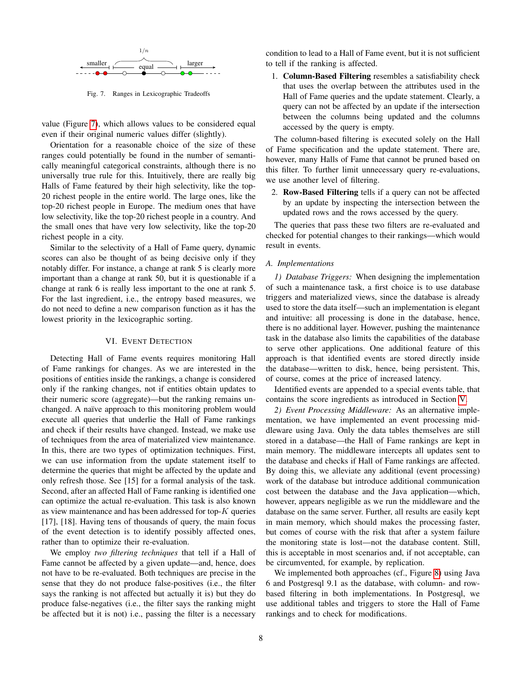

<span id="page-7-1"></span>Fig. 7. Ranges in Lexicographic Tradeoffs

value (Figure [7\)](#page-7-1), which allows values to be considered equal even if their original numeric values differ (slightly).

Orientation for a reasonable choice of the size of these ranges could potentially be found in the number of semantically meaningful categorical constraints, although there is no universally true rule for this. Intuitively, there are really big Halls of Fame featured by their high selectivity, like the top-20 richest people in the entire world. The large ones, like the top-20 richest people in Europe. The medium ones that have low selectivity, like the top-20 richest people in a country. And the small ones that have very low selectivity, like the top-20 richest people in a city.

Similar to the selectivity of a Hall of Fame query, dynamic scores can also be thought of as being decisive only if they notably differ. For instance, a change at rank 5 is clearly more important than a change at rank 50, but it is questionable if a change at rank 6 is really less important to the one at rank 5. For the last ingredient, i.e., the entropy based measures, we do not need to define a new comparison function as it has the lowest priority in the lexicographic sorting.

#### VI. EVENT DETECTION

<span id="page-7-0"></span>Detecting Hall of Fame events requires monitoring Hall of Fame rankings for changes. As we are interested in the positions of entities inside the rankings, a change is considered only if the ranking changes, not if entities obtain updates to their numeric score (aggregate)—but the ranking remains unchanged. A naïve approach to this monitoring problem would execute all queries that underlie the Hall of Fame rankings and check if their results have changed. Instead, we make use of techniques from the area of materialized view maintenance. In this, there are two types of optimization techniques. First, we can use information from the update statement itself to determine the queries that might be affected by the update and only refresh those. See [15] for a formal analysis of the task. Second, after an affected Hall of Fame ranking is identified one can optimize the actual re-evaluation. This task is also known as view maintenance and has been addressed for top- $K$  queries [17], [18]. Having tens of thousands of query, the main focus of the event detection is to identify possibly affected ones, rather than to optimize their re-evaluation.

We employ *two filtering techniques* that tell if a Hall of Fame cannot be affected by a given update—and, hence, does not have to be re-evaluated. Both techniques are precise in the sense that they do not produce false-positives (i.e., the filter says the ranking is not affected but actually it is) but they do produce false-negatives (i.e., the filter says the ranking might be affected but it is not) i.e., passing the filter is a necessary

condition to lead to a Hall of Fame event, but it is not sufficient to tell if the ranking is affected.

1. Column-Based Filtering resembles a satisfiability check that uses the overlap between the attributes used in the Hall of Fame queries and the update statement. Clearly, a query can not be affected by an update if the intersection between the columns being updated and the columns accessed by the query is empty.

The column-based filtering is executed solely on the Hall of Fame specification and the update statement. There are, however, many Halls of Fame that cannot be pruned based on this filter. To further limit unnecessary query re-evaluations, we use another level of filtering.

2. Row-Based Filtering tells if a query can not be affected by an update by inspecting the intersection between the updated rows and the rows accessed by the query.

The queries that pass these two filters are re-evaluated and checked for potential changes to their rankings—which would result in events.

#### *A. Implementations*

*1) Database Triggers:* When designing the implementation of such a maintenance task, a first choice is to use database triggers and materialized views, since the database is already used to store the data itself—such an implementation is elegant and intuitive: all processing is done in the database, hence, there is no additional layer. However, pushing the maintenance task in the database also limits the capabilities of the database to serve other applications. One additional feature of this approach is that identified events are stored directly inside the database—written to disk, hence, being persistent. This, of course, comes at the price of increased latency.

Identified events are appended to a special events table, that contains the score ingredients as introduced in Section [V.](#page-4-0)

*2) Event Processing Middleware:* As an alternative implementation, we have implemented an event processing middleware using Java. Only the data tables themselves are still stored in a database—the Hall of Fame rankings are kept in main memory. The middleware intercepts all updates sent to the database and checks if Hall of Fame rankings are affected. By doing this, we alleviate any additional (event processing) work of the database but introduce additional communication cost between the database and the Java application—which, however, appears negligible as we run the middleware and the database on the same server. Further, all results are easily kept in main memory, which should makes the processing faster, but comes of course with the risk that after a system failure the monitoring state is lost—not the database content. Still, this is acceptable in most scenarios and, if not acceptable, can be circumvented, for example, by replication.

We implemented both approaches (cf., Figure [8\)](#page-8-1) using Java 6 and Postgresql 9.1 as the database, with column- and rowbased filtering in both implementations. In Postgresql, we use additional tables and triggers to store the Hall of Fame rankings and to check for modifications.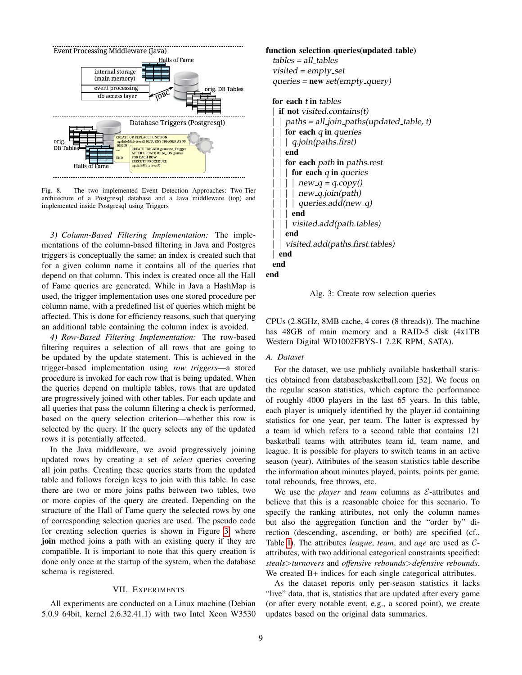

<span id="page-8-1"></span>The two implemented Event Detection Approaches: Two-Tier architecture of a Postgresql database and a Java middleware (top) and implemented inside Postgresql using Triggers

*3) Column-Based Filtering Implementation:* The implementations of the column-based filtering in Java and Postgres triggers is conceptually the same: an index is created such that for a given column name it contains all of the queries that depend on that column. This index is created once all the Hall of Fame queries are generated. While in Java a HashMap is used, the trigger implementation uses one stored procedure per column name, with a predefined list of queries which might be affected. This is done for efficiency reasons, such that querying an additional table containing the column index is avoided.

*4) Row-Based Filtering Implementation:* The row-based filtering requires a selection of all rows that are going to be updated by the update statement. This is achieved in the trigger-based implementation using *row triggers*—a stored procedure is invoked for each row that is being updated. When the queries depend on multiple tables, rows that are updated are progressively joined with other tables. For each update and all queries that pass the column filtering a check is performed, based on the query selection criterion—whether this row is selected by the query. If the query selects any of the updated rows it is potentially affected.

In the Java middleware, we avoid progressively joining updated rows by creating a set of *select* queries covering all join paths. Creating these queries starts from the updated table and follows foreign keys to join with this table. In case there are two or more joins paths between two tables, two or more copies of the query are created. Depending on the structure of the Hall of Fame query the selected rows by one of corresponding selection queries are used. The pseudo code for creating selection queries is shown in Figure [3,](#page-8-2) where join method joins a path with an existing query if they are compatible. It is important to note that this query creation is done only once at the startup of the system, when the database schema is registered.

#### VII. EXPERIMENTS

<span id="page-8-0"></span>All experiments are conducted on a Linux machine (Debian 5.0.9 64bit, kernel 2.6.32.41.1) with two Intel Xeon W3530

### <span id="page-8-2"></span>function selection\_queries(updated\_table)  $tables = all_tables$ visited = empty\_set  $queries = new set(empty_query)$ for each t in tables  $if not visited. contains(t)$  $paths = all.join.paths (updated_table, t)$ for each  $q$  in queries | *q.join(paths.first)* end for each path in paths.rest for each  $q$  in queries  $new_q = q.copy()$ new<sub>-9</sub>.join(path) queries.add(new\_q) | | | end | visited.add(path.tables) end | | visited.add(paths.first.tables) end end



Alg. 3: Create row selection queries

CPUs (2.8GHz, 8MB cache, 4 cores (8 threads)). The machine has 48GB of main memory and a RAID-5 disk (4x1TB Western Digital WD1002FBYS-1 7.2K RPM, SATA).

#### *A. Dataset*

For the dataset, we use publicly available basketball statistics obtained from databasebasketball.com [32]. We focus on the regular season statistics, which capture the performance of roughly 4000 players in the last 65 years. In this table, each player is uniquely identified by the player id containing statistics for one year, per team. The latter is expressed by a team id which refers to a second table that contains 121 basketball teams with attributes team id, team name, and league. It is possible for players to switch teams in an active season (year). Attributes of the season statistics table describe the information about minutes played, points, points per game, total rebounds, free throws, etc.

We use the *player* and *team* columns as  $\mathcal{E}$ -attributes and believe that this is a reasonable choice for this scenario. To specify the ranking attributes, not only the column names but also the aggregation function and the "order by" direction (descending, ascending, or both) are specified (cf., Table [I\)](#page-9-0). The attributes *league*, *team*, and *age* are used as Cattributes, with two additional categorical constraints specified: *steals*>*turnovers* and *offensive rebounds*>*defensive rebounds*. We created B+ indices for each single categorical attributes.

As the dataset reports only per-season statistics it lacks "live" data, that is, statistics that are updated after every game (or after every notable event, e.g., a scored point), we create updates based on the original data summaries.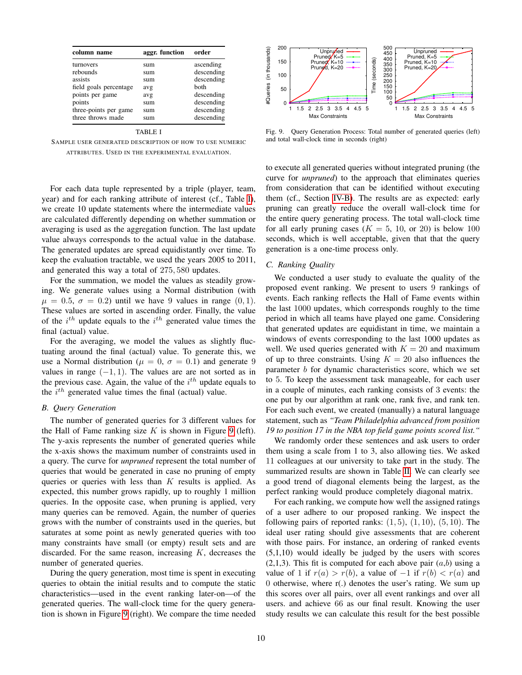| column name            | aggr. function | order      |
|------------------------|----------------|------------|
| turnovers              | sum            | ascending  |
| rebounds               | sum            | descending |
| assists                | sum            | descending |
| field goals percentage | avg            | hoth       |
| points per game        | avg            | descending |
| points                 | sum            | descending |
| three-points per game  | sum            | descending |
| three throws made      | sum            | descending |

<span id="page-9-0"></span>SAMPLE USER GENERATED DESCRIPTION OF HOW TO USE NUMERIC ATTRIBUTES. USED IN THE EXPERIMENTAL EVALUATION.

For each data tuple represented by a triple (player, team, year) and for each ranking attribute of interest (cf., Table [I\)](#page-9-0), we create 10 update statements where the intermediate values are calculated differently depending on whether summation or averaging is used as the aggregation function. The last update value always corresponds to the actual value in the database. The generated updates are spread equidistantly over time. To keep the evaluation tractable, we used the years 2005 to 2011, and generated this way a total of 275, 580 updates.

For the summation, we model the values as steadily growing. We generate values using a Normal distribution (with  $\mu = 0.5, \sigma = 0.2$  until we have 9 values in range  $(0, 1)$ . These values are sorted in ascending order. Finally, the value of the  $i^{th}$  update equals to the  $i^{th}$  generated value times the final (actual) value.

For the averaging, we model the values as slightly fluctuating around the final (actual) value. To generate this, we use a Normal distribution ( $\mu = 0$ ,  $\sigma = 0.1$ ) and generate 9 values in range  $(-1, 1)$ . The values are are not sorted as in the previous case. Again, the value of the  $i^{th}$  update equals to the  $i^{th}$  generated value times the final (actual) value.

#### *B. Query Generation*

The number of generated queries for 3 different values for the Hall of Fame ranking size  $K$  is shown in Figure [9](#page-9-1) (left). The y-axis represents the number of generated queries while the x-axis shows the maximum number of constraints used in a query. The curve for *unpruned* represent the total number of queries that would be generated in case no pruning of empty queries or queries with less than  $K$  results is applied. As expected, this number grows rapidly, up to roughly 1 million queries. In the opposite case, when pruning is applied, very many queries can be removed. Again, the number of queries grows with the number of constraints used in the queries, but saturates at some point as newly generated queries with too many constraints have small (or empty) result sets and are discarded. For the same reason, increasing  $K$ , decreases the number of generated queries.

During the query generation, most time is spent in executing queries to obtain the initial results and to compute the static characteristics—used in the event ranking later-on—of the generated queries. The wall-clock time for the query generation is shown in Figure [9](#page-9-1) (right). We compare the time needed



<span id="page-9-1"></span>Fig. 9. Query Generation Process: Total number of generated queries (left) and total wall-clock time in seconds (right)

to execute all generated queries without integrated pruning (the curve for *unpruned*) to the approach that eliminates queries from consideration that can be identified without executing them (cf., Section [IV-B\)](#page-3-3). The results are as expected: early pruning can greatly reduce the overall wall-clock time for the entire query generating process. The total wall-clock time for all early pruning cases ( $K = 5$ , 10, or 20) is below 100 seconds, which is well acceptable, given that that the query generation is a one-time process only.

#### *C. Ranking Quality*

We conducted a user study to evaluate the quality of the proposed event ranking. We present to users 9 rankings of events. Each ranking reflects the Hall of Fame events within the last 1000 updates, which corresponds roughly to the time period in which all teams have played one game. Considering that generated updates are equidistant in time, we maintain a windows of events corresponding to the last 1000 updates as well. We used queries generated with  $K = 20$  and maximum of up to three constraints. Using  $K = 20$  also influences the parameter b for dynamic characteristics score, which we set to 5. To keep the assessment task manageable, for each user in a couple of minutes, each ranking consists of 3 events: the one put by our algorithm at rank one, rank five, and rank ten. For each such event, we created (manually) a natural language statement, such as *"Team Philadelphia advanced from position 19 to position 17 in the NBA top field game points scored list."*

We randomly order these sentences and ask users to order them using a scale from 1 to 3, also allowing ties. We asked 11 colleagues at our university to take part in the study. The summarized results are shown in Table [II.](#page-10-1) We can clearly see a good trend of diagonal elements being the largest, as the perfect ranking would produce completely diagonal matrix.

For each ranking, we compute how well the assigned ratings of a user adhere to our proposed ranking. We inspect the following pairs of reported ranks:  $(1, 5)$ ,  $(1, 10)$ ,  $(5, 10)$ . The ideal user rating should give assessments that are coherent with those pairs. For instance, an ordering of ranked events (5,1,10) would ideally be judged by the users with scores  $(2,1,3)$ . This fit is computed for each above pair  $(a,b)$  using a value of 1 if  $r(a) > r(b)$ , a value of  $-1$  if  $r(b) < r(a)$  and 0 otherwise, where r(.) denotes the user's rating. We sum up this scores over all pairs, over all event rankings and over all users. and achieve 66 as our final result. Knowing the user study results we can calculate this result for the best possible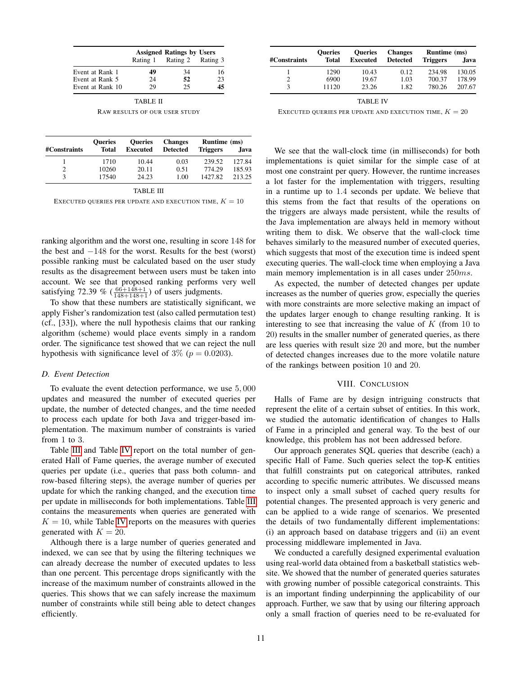|                  | <b>Assigned Ratings by Users</b> |                            |    |  |  |
|------------------|----------------------------------|----------------------------|----|--|--|
|                  |                                  | Rating 1 Rating 2 Rating 3 |    |  |  |
| Event at Rank 1  | 49                               | 34                         | 16 |  |  |
| Event at Rank 5  | 24                               | 52                         | 23 |  |  |
| Event at Rank 10 | 29                               | 25                         | 45 |  |  |

| <b>TABLE II</b>               |  |
|-------------------------------|--|
| RAW RESULTS OF OUR USER STUDY |  |

<span id="page-10-1"></span>

|              | <b>Oueries</b> | <b>Oueries</b>  | <b>Changes</b>  | Runtime (ms)    |        |  |
|--------------|----------------|-----------------|-----------------|-----------------|--------|--|
| #Constraints | <b>Total</b>   | <b>Executed</b> | <b>Detected</b> | <b>Triggers</b> | Java   |  |
|              | 1710           | 10.44           | 0.03            | 239.52          | 127.84 |  |
|              | 10260          | 20.11           | 0.51            | 774.29          | 185.93 |  |
|              | 17540          | 24.23           | 1.00            | 1427.82         | 213.25 |  |

|--|

<span id="page-10-2"></span>EXECUTED QUERIES PER UPDATE AND EXECUTION TIME,  $K = 10$ 

ranking algorithm and the worst one, resulting in score 148 for the best and −148 for the worst. Results for the best (worst) possible ranking must be calculated based on the user study results as the disagreement between users must be taken into account. We see that proposed ranking performs very well satisfying 72.39 %  $(\frac{66+148+1}{148+148+1})$  of users judgments.

To show that these numbers are statistically significant, we apply Fisher's randomization test (also called permutation test) (cf., [33]), where the null hypothesis claims that our ranking algorithm (scheme) would place events simply in a random order. The significance test showed that we can reject the null hypothesis with significance level of  $3\%$  ( $p = 0.0203$ ).

#### *D. Event Detection*

To evaluate the event detection performance, we use 5, 000 updates and measured the number of executed queries per update, the number of detected changes, and the time needed to process each update for both Java and trigger-based implementation. The maximum number of constraints is varied from 1 to 3.

Table [III](#page-10-2) and Table [IV](#page-10-3) report on the total number of generated Hall of Fame queries, the average number of executed queries per update (i.e., queries that pass both column- and row-based filtering steps), the average number of queries per update for which the ranking changed, and the execution time per update in milliseconds for both implementations. Table [III](#page-10-2) contains the measurements when queries are generated with  $K = 10$ , while Table [IV](#page-10-3) reports on the measures with queries generated with  $K = 20$ .

Although there is a large number of queries generated and indexed, we can see that by using the filtering techniques we can already decrease the number of executed updates to less than one percent. This percentage drops significantly with the increase of the maximum number of constraints allowed in the queries. This shows that we can safely increase the maximum number of constraints while still being able to detect changes efficiently.

| <b>Oueries</b> | <b>Oueries</b>  | <b>Changes</b>  | Runtime (ms)    |        |  |
|----------------|-----------------|-----------------|-----------------|--------|--|
| <b>Total</b>   | <b>Executed</b> | <b>Detected</b> | <b>Triggers</b> | Java   |  |
| 1290           | 10.43           | 0.12            | 234.98          | 130.05 |  |
| 6900           | 19.67           | 1.03            | 700.37          | 178.99 |  |
| 11120          | 23.26           | 1.82            | 780.26          | 207.67 |  |
|                |                 |                 |                 |        |  |

TABLE IV

<span id="page-10-3"></span>EXECUTED QUERIES PER UPDATE AND EXECUTION TIME,  $K = 20$ 

We see that the wall-clock time (in milliseconds) for both implementations is quiet similar for the simple case of at most one constraint per query. However, the runtime increases a lot faster for the implementation with triggers, resulting in a runtime up to 1.4 seconds per update. We believe that this stems from the fact that results of the operations on the triggers are always made persistent, while the results of the Java implementation are always held in memory without writing them to disk. We observe that the wall-clock time behaves similarly to the measured number of executed queries, which suggests that most of the execution time is indeed spent executing queries. The wall-clock time when employing a Java main memory implementation is in all cases under 250ms.

As expected, the number of detected changes per update increases as the number of queries grow, especially the queries with more constraints are more selective making an impact of the updates larger enough to change resulting ranking. It is interesting to see that increasing the value of  $K$  (from 10 to 20) results in the smaller number of generated queries, as there are less queries with result size 20 and more, but the number of detected changes increases due to the more volatile nature of the rankings between position 10 and 20.

#### VIII. CONCLUSION

<span id="page-10-0"></span>Halls of Fame are by design intriguing constructs that represent the elite of a certain subset of entities. In this work, we studied the automatic identification of changes to Halls of Fame in a principled and general way. To the best of our knowledge, this problem has not been addressed before.

Our approach generates SQL queries that describe (each) a specific Hall of Fame. Such queries select the top-K entities that fulfill constraints put on categorical attributes, ranked according to specific numeric attributes. We discussed means to inspect only a small subset of cached query results for potential changes. The presented approach is very generic and can be applied to a wide range of scenarios. We presented the details of two fundamentally different implementations: (i) an approach based on database triggers and (ii) an event processing middleware implemented in Java.

We conducted a carefully designed experimental evaluation using real-world data obtained from a basketball statistics website. We showed that the number of generated queries saturates with growing number of possible categorical constraints. This is an important finding underpinning the applicability of our approach. Further, we saw that by using our filtering approach only a small fraction of queries need to be re-evaluated for